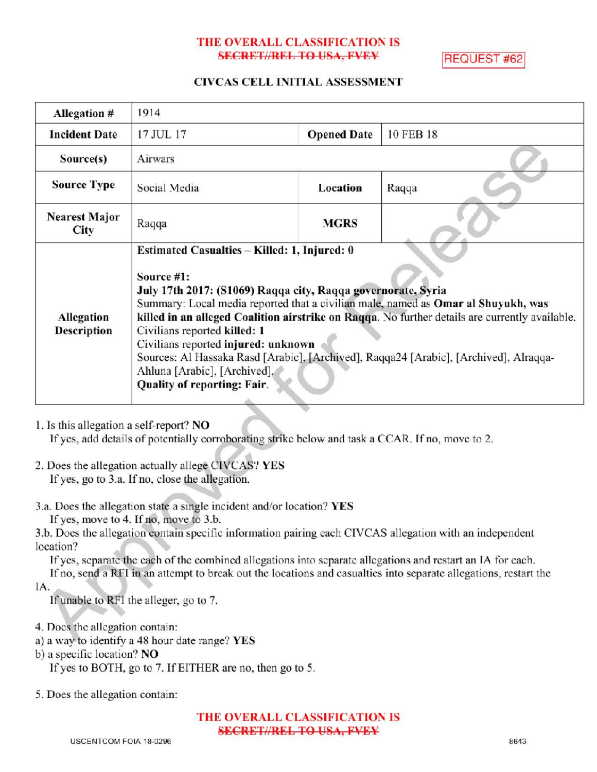# THE OVERALL CLASSIFICATION IS SECRET//REL TO USA, FVEY REQUEST #62

# CIVCAS CELL INITIAL ASSESSMENT

| <b>Allegation #</b>              | 1914                                                                                                                                                                                                                                                                                                                                                                                                                                                                                                                                             |                    |           |
|----------------------------------|--------------------------------------------------------------------------------------------------------------------------------------------------------------------------------------------------------------------------------------------------------------------------------------------------------------------------------------------------------------------------------------------------------------------------------------------------------------------------------------------------------------------------------------------------|--------------------|-----------|
| <b>Incident Date</b>             | 17 JUL 17                                                                                                                                                                                                                                                                                                                                                                                                                                                                                                                                        | <b>Opened Date</b> | 10 FEB 18 |
| Source(s)                        | Airwars                                                                                                                                                                                                                                                                                                                                                                                                                                                                                                                                          |                    |           |
| <b>Source Type</b>               | Social Media                                                                                                                                                                                                                                                                                                                                                                                                                                                                                                                                     | Location           | Raqqa     |
| <b>Nearest Major</b><br>City     | Raqqa                                                                                                                                                                                                                                                                                                                                                                                                                                                                                                                                            | <b>MGRS</b>        |           |
| Allegation<br><b>Description</b> | Estimated Casualties - Killed: 1, Injured: 0<br>Source #1:<br>July 17th 2017: (S1069) Raqqa city, Raqqa governorate, Syria<br>Summary: Local media reported that a civilian male, named as Omar al Shuyukh, was<br>killed in an alleged Coalition airstrike on Raqqa. No further details are currently available.<br>Civilians reported killed: 1<br>Civilians reported injured: unknown<br>Sources: Al Hassaka Rasd [Arabic], [Archived], Raqqa24 [Arabic], [Archived], Alraqqa-<br>Ahluna [Arabic], [Archived],<br>Quality of reporting: Fair. |                    |           |

1. Is this allegation a self-report? NO

If yes, add details of potentially corroborating strike below and task a CCAR. If no, move to 2.

- 2. Does the allegation actually allege CIVCAS? YES If yes, go to 3.a. If no, close the allegation.
- 3.a. Does the allegation state a single incident and/or location? YES
	- If yes, move to 4. If no, move to 3.b.
- 3.b. Does the allegation contain specific information pairing each CIVCAS allegation with an independent location?

If yes, separate the each of the combined allegations into separate allegations and restart an IA for each. If no, send a RFI in an attempt to break out the locations and casualties into separate allegations, restart the

IA

If unable to RFI the alleger, go to 7.

- 4. Does the allegation contain:
- a) <sup>a</sup> way to identify <sup>a</sup> 48 hour date range? YES
- b) <sup>a</sup> specific location? NO

If yes to BOTH, go to 7. If EITHER are no, then go to 5.

5. Does the allegation contain:

THE OVERALL CLASSIFICATION IS SECRET//REL TO USA, FVEY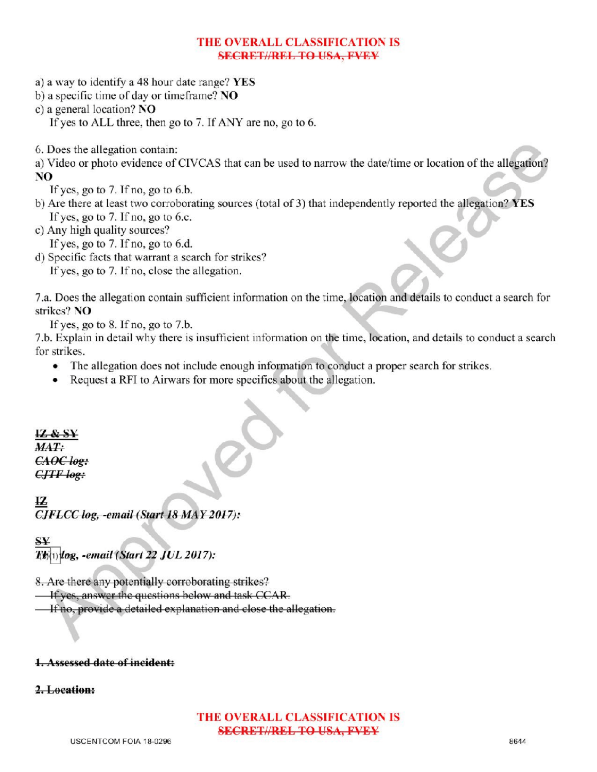# THE OVERALL CLASSIFICATION IS SECRETIAREL TO USA, FVEY

- a) <sup>a</sup> way to identify <sup>a</sup> 48 hour date range? YES
- b) a specific time of day or timeframe? NO
- c) <sup>a</sup> general location? NO
	- If yes to ALL three, then go to 7. If ANY are no, go to 6.

6. Does the allegation contain:

a) Video or photo evidence of CIVCAS that can be used to narrow the date/time or location of the allegation? NO

If yes, go to  $7.$  If no, go to  $6.b$ .

- b) Are there at least two corroborating sources (total of 3) that independently reported the allegation? YES If yes, go to 7. If no, go to 6.c.
- c) Any high quality sources?

If yes, go to  $7.$  If no, go to  $6.d.$ 

d) Specific facts that warrant a search for strikes?

If yes, go to 7. If no, close the allegation.

7.a. Does the allegation contain sufficient information on the time, location and details to conduct a search for strikes? NO

If yes, go to  $8$ . If no, go to  $7.b$ .

7.b. Explain in detail why there is insufficient information on the time, location, and details to conduct a search for strikes

- The allegation does not include enough information to conduct a proper search for strikes.
- Request a RFI to Airwars for more specifics about the allegation.

IZ &  $MAT:$ CAOC log:

IZ  $\frac{1}{\log x}$ CJFLCC log, -email (Start 18 MAY 2017):

**S¥** TG $\left( \text{t}\right)$ log, -email (Start 22 JUL 2017).

8. Are there any potentially corroborating strikes?

If yes, answer the questions below and task CCAR .

**If no, provide a detailed explanation and close the allegation.** 

#### 1. Assessed date of incident:

### 2. Location:

## THE OVERALL CLASSIFICATION IS SECRET//REL TO USA, FVEY